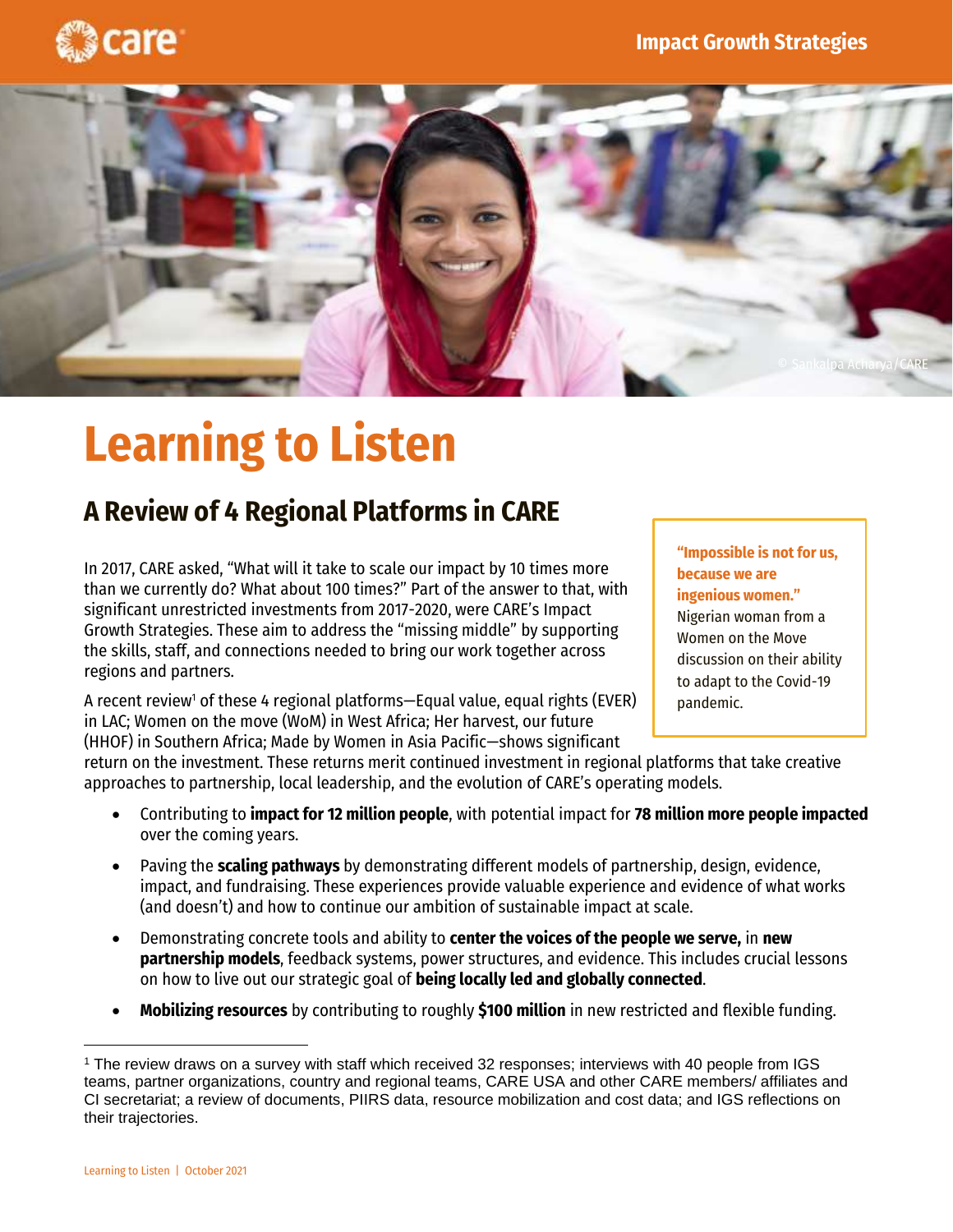



# **Learning to Listen**

# **A Review of 4 Regional Platforms in CARE**

In 2017, CARE asked, "What will it take to scale our impact by 10 times more than we currently do? What about 100 times?" Part of the answer to that, with significant unrestricted investments from 2017-2020, were CARE's Impact Growth Strategies. These aim to address the "missing middle" by supporting the skills, staff, and connections needed to bring our work together across regions and partners.

A recent review<sup>1</sup> of these 4 regional platforms—Equal value, equal rights (EVER) in LAC; Women on the move (WoM) in West Africa; Her harvest, our future (HHOF) in Southern Africa; Made by Women in Asia Pacific—shows significant

**"Impossible is not for us, because we are ingenious women."** Nigerian woman from a Women on the Move discussion on their ability to adapt to the Covid-19 pandemic.

sustainability.

return on the investment. These returns merit continued investment in regional platforms that take creative approaches to partnership, local leadership, and the evolution of CARE's operating models.

- Contributing to **impact for 12 million people**, with potential impact for **78 million more people impacted** over the coming years.
- Paving the **scaling pathways** by demonstrating different models of partnership, design, evidence, impact, and fundraising. These experiences provide valuable experience and evidence of what works (and doesn't) and how to continue our ambition of sustainable impact at scale.
- Demonstrating concrete tools and ability to **center the voices of the people we serve,** in **new partnership models**, feedback systems, power structures, and evidence. This includes crucial lessons on how to live out our strategic goal of **being locally led and globally connected**.
- **Mobilizing resources** by contributing to roughly **\$100 million** in new restricted and flexible funding.

<sup>1</sup> The review draws on a survey with staff which received 32 responses; interviews with 40 people from IGS teams, partner organizations, country and regional teams, CARE USA and other CARE members/ affiliates and CI secretariat; a review of documents, PIIRS data, resource mobilization and cost data; and IGS reflections on their trajectories.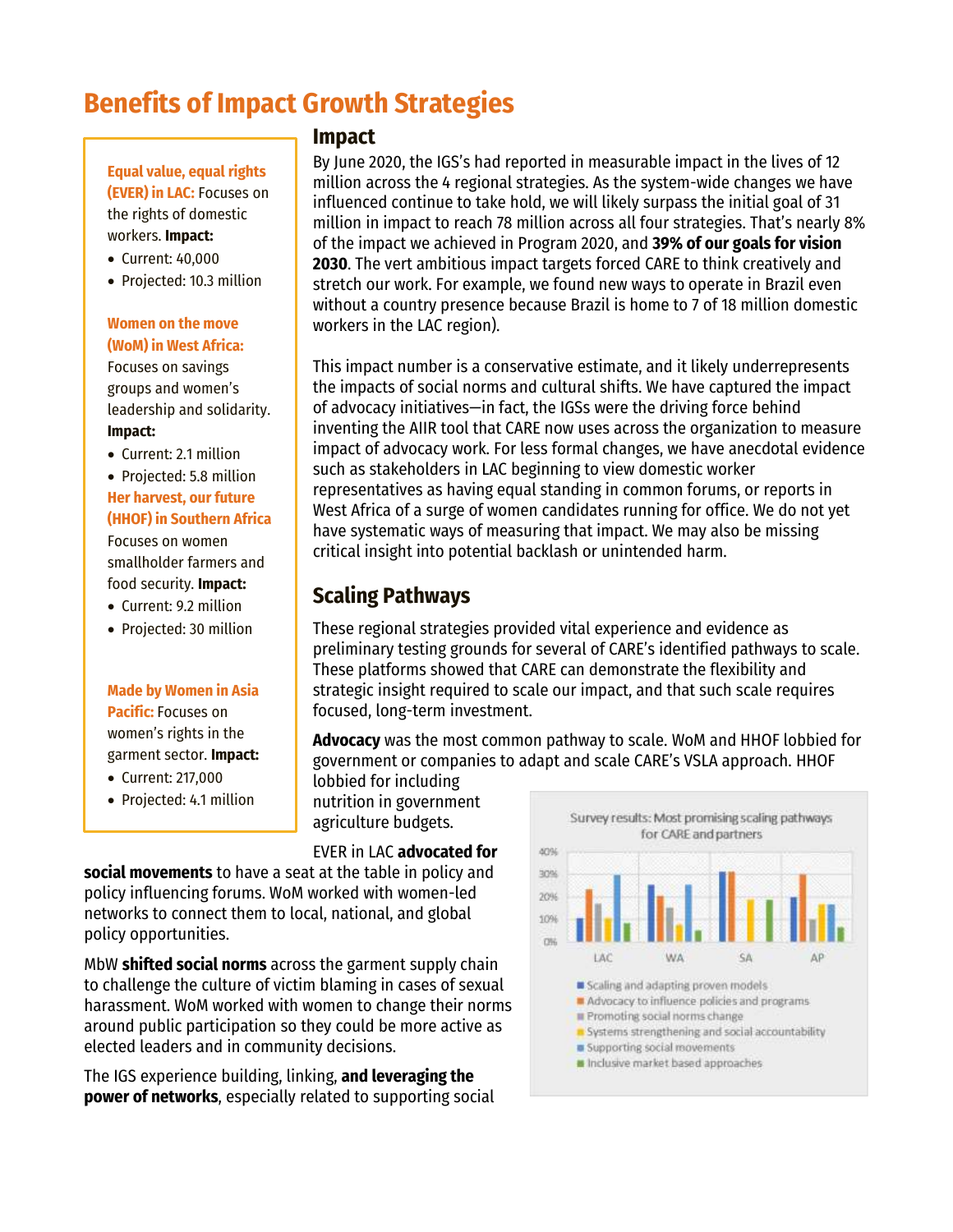# **Benefits of Impact Growth Strategies**

**Equal value, equal rights (EVER) in LAC:** Focuses on the rights of domestic workers. **Impact:**

- Current: 40,000
- Projected: 10.3 million

#### **Women on the move (WoM) in West Africa:**

Focuses on savings groups and women's leadership and solidarity. **Impact:**

• Current: 2.1 million

• Projected: 5.8 million **Her harvest, our future (HHOF) in Southern Africa**

Focuses on women smallholder farmers and food security. **Impact:**

- Current: 9.2 million
- Projected: 30 million

#### **Made by Women in Asia Pacific:** Focuses on

women's rights in the garment sector. **Impact:**

• Current: 217,000

sustainability.<br>Sustainability of the sustainability of the sustainability of the sustainability of the sustainability of the

• Projected: 4.1 million

#### **Impact**

By June 2020, the IGS's had reported in measurable impact in the lives of 12 million across the 4 regional strategies. As the system-wide changes we have influenced continue to take hold, we will likely surpass the initial goal of 31 million in impact to reach 78 million across all four strategies. That's nearly 8% of the impact we achieved in Program 2020, and **39% of our goals for vision 2030**. The vert ambitious impact targets forced CARE to think creatively and stretch our work. For example, we found new ways to operate in Brazil even without a country presence because Brazil is home to 7 of 18 million domestic workers in the LAC region).

This impact number is a conservative estimate, and it likely underrepresents the impacts of social norms and cultural shifts. We have captured the impact of advocacy initiatives—in fact, the IGSs were the driving force behind inventing the AIIR tool that CARE now uses across the organization to measure impact of advocacy work. For less formal changes, we have anecdotal evidence such as stakeholders in LAC beginning to view domestic worker representatives as having equal standing in common forums, or reports in West Africa of a surge of women candidates running for office. We do not yet have systematic ways of measuring that impact. We may also be missing critical insight into potential backlash or unintended harm.

### **Scaling Pathways**

These regional strategies provided vital experience and evidence as preliminary testing grounds for several of CARE's identified pathways to scale. These platforms showed that CARE can demonstrate the flexibility and strategic insight required to scale our impact, and that such scale requires focused, long-term investment.

**Advocacy** was the most common pathway to scale. WoM and HHOF lobbied for government or companies to adapt and scale CARE's VSLA approach. HHOF

lobbied for including nutrition in government agriculture budgets.

EVER in LAC **advocated for** 

**social movements** to have a seat at the table in policy and policy influencing forums. WoM worked with women-led networks to connect them to local, national, and global policy opportunities.

MbW **shifted social norms** across the garment supply chain to challenge the culture of victim blaming in cases of sexual harassment. WoM worked with women to change their norms around public participation so they could be more active as elected leaders and in community decisions.

The IGS experience building, linking, **and leveraging the power of networks**, especially related to supporting social

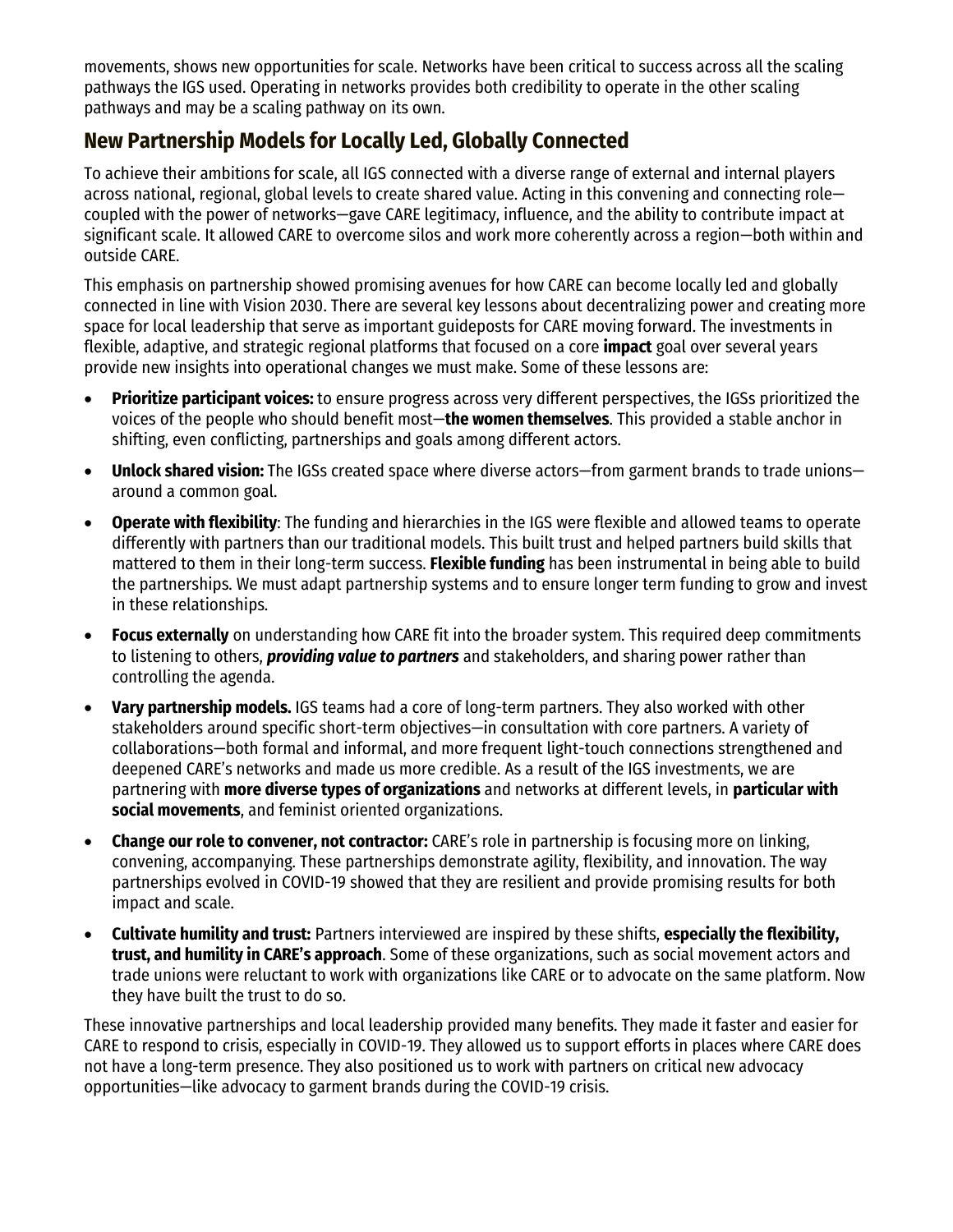movements, shows new opportunities for scale. Networks have been critical to success across all the scaling pathways the IGS used. Operating in networks provides both credibility to operate in the other scaling pathways and may be a scaling pathway on its own.

## **New Partnership Models for Locally Led, Globally Connected**

To achieve their ambitions for scale, all IGS connected with a diverse range of external and internal players across national, regional, global levels to create shared value. Acting in this convening and connecting role coupled with the power of networks—gave CARE legitimacy, influence, and the ability to contribute impact at significant scale. It allowed CARE to overcome silos and work more coherently across a region—both within and outside CARE.

This emphasis on partnership showed promising avenues for how CARE can become locally led and globally connected in line with Vision 2030. There are several key lessons about decentralizing power and creating more space for local leadership that serve as important guideposts for CARE moving forward. The investments in flexible, adaptive, and strategic regional platforms that focused on a core **impact** goal over several years provide new insights into operational changes we must make. Some of these lessons are:

- **Prioritize participant voices:** to ensure progress across very different perspectives, the IGSs prioritized the voices of the people who should benefit most—**the women themselves**. This provided a stable anchor in shifting, even conflicting, partnerships and goals among different actors.
- **Unlock shared vision:** The IGSs created space where diverse actors—from garment brands to trade unions around a common goal.
- **Operate with flexibility**: The funding and hierarchies in the IGS were flexible and allowed teams to operate differently with partners than our traditional models. This built trust and helped partners build skills that mattered to them in their long-term success. **Flexible funding** has been instrumental in being able to build the partnerships. We must adapt partnership systems and to ensure longer term funding to grow and invest in these relationships.
- **Focus externally** on understanding how CARE fit into the broader system. This required deep commitments to listening to others, *providing value to partners* and stakeholders, and sharing power rather than controlling the agenda.
- **Vary partnership models.** IGS teams had a core of long-term partners. They also worked with other stakeholders around specific short-term objectives—in consultation with core partners. A variety of collaborations—both formal and informal, and more frequent light-touch connections strengthened and deepened CARE's networks and made us more credible. As a result of the IGS investments, we are partnering with **more diverse types of organizations** and networks at different levels, in **particular with social movements**, and feminist oriented organizations.
- **Change our role to convener, not contractor:** CARE's role in partnership is focusing more on linking, convening, accompanying. These partnerships demonstrate agility, flexibility, and innovation. The way partnerships evolved in COVID-19 showed that they are resilient and provide promising results for both impact and scale.
- **Cultivate humility and trust:** Partners interviewed are inspired by these shifts, **especially the flexibility, trust, and humility in CARE's approach**. Some of these organizations, such as social movement actors and trade unions were reluctant to work with organizations like CARE or to advocate on the same platform. Now they have built the trust to do so.

These innovative partnerships and local leadership provided many benefits. They made it faster and easier for CARE to respond to crisis, especially in COVID-19. They allowed us to support efforts in places where CARE does not have a long-term presence. They also positioned us to work with partners on critical new advocacy opportunities—like advocacy to garment brands during the COVID-19 crisis.